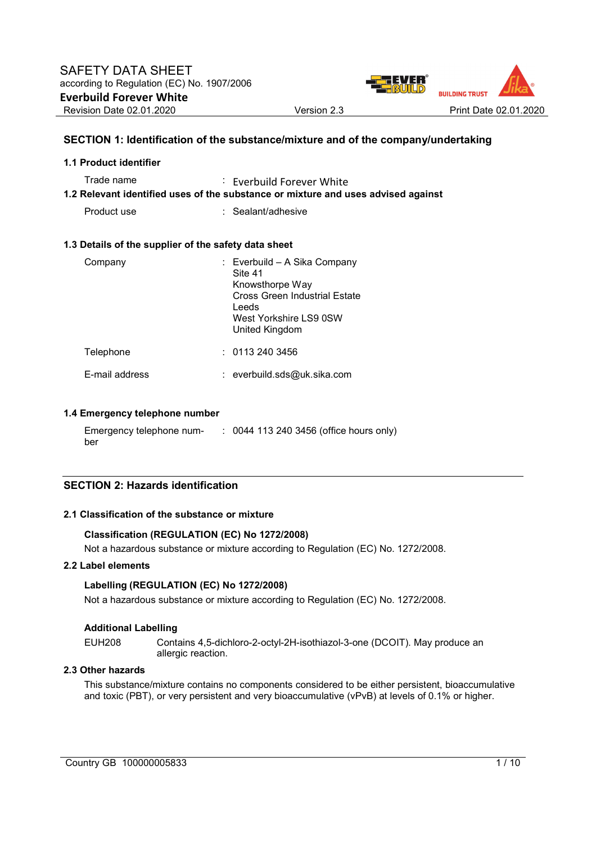

## **SECTION 1: Identification of the substance/mixture and of the company/undertaking**

| 1.1 Product identifier                               |                                                                                                                                                  |
|------------------------------------------------------|--------------------------------------------------------------------------------------------------------------------------------------------------|
| Trade name                                           | $\therefore$ Everbuild Forever White<br>1.2 Relevant identified uses of the substance or mixture and uses advised against                        |
| Product use                                          | $:$ Sealant/adhesive                                                                                                                             |
| 1.3 Details of the supplier of the safety data sheet |                                                                                                                                                  |
| Company                                              | : Everbuild - A Sika Company<br>Site 41<br>Knowsthorpe Way<br>Cross Green Industrial Estate<br>Leeds<br>West Yorkshire LS9 0SW<br>United Kingdom |
| Telephone                                            | : 01132403456                                                                                                                                    |
| E-mail address                                       | : everbuild.sds@uk.sika.com                                                                                                                      |

### **1.4 Emergency telephone number**

Emergency telephone number : 0044 113 240 3456 (office hours only)

### **SECTION 2: Hazards identification**

### **2.1 Classification of the substance or mixture**

## **Classification (REGULATION (EC) No 1272/2008)**

Not a hazardous substance or mixture according to Regulation (EC) No. 1272/2008.

## **2.2 Label elements**

## **Labelling (REGULATION (EC) No 1272/2008)**

Not a hazardous substance or mixture according to Regulation (EC) No. 1272/2008.

#### **Additional Labelling**

EUH208 Contains 4,5-dichloro-2-octyl-2H-isothiazol-3-one (DCOIT). May produce an allergic reaction.

#### **2.3 Other hazards**

This substance/mixture contains no components considered to be either persistent, bioaccumulative and toxic (PBT), or very persistent and very bioaccumulative (vPvB) at levels of 0.1% or higher.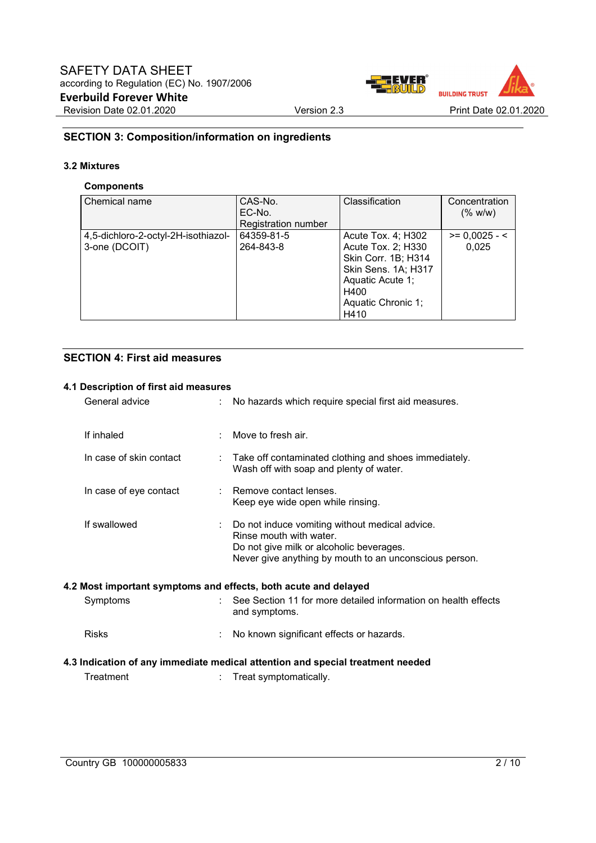

## **SECTION 3: Composition/information on ingredients**

## **3.2 Mixtures**

## **Components**

| Chemical name                       | CAS-No.                    | Classification      | Concentration   |
|-------------------------------------|----------------------------|---------------------|-----------------|
|                                     | EC-No.                     |                     | (% w/w)         |
|                                     | <b>Registration number</b> |                     |                 |
| 4,5-dichloro-2-octyl-2H-isothiazol- | 64359-81-5                 | Acute Tox. 4; H302  | $>= 0,0025 - 5$ |
| 3-one (DCOIT)                       | 264-843-8                  | Acute Tox. 2; H330  | 0.025           |
|                                     |                            | Skin Corr. 1B; H314 |                 |
|                                     |                            | Skin Sens. 1A; H317 |                 |
|                                     |                            | Aquatic Acute 1;    |                 |
|                                     |                            | H400                |                 |
|                                     |                            | Aquatic Chronic 1;  |                 |
|                                     |                            | H410                |                 |

## **SECTION 4: First aid measures**

## **4.1 Description of first aid measures**

| General advice          | No hazards which require special first aid measures.                                                                                                                            |
|-------------------------|---------------------------------------------------------------------------------------------------------------------------------------------------------------------------------|
| If inhaled              | Move to fresh air.                                                                                                                                                              |
| In case of skin contact | Take off contaminated clothing and shoes immediately.<br>Wash off with soap and plenty of water.                                                                                |
| In case of eye contact  | : Remove contact lenses.<br>Keep eye wide open while rinsing.                                                                                                                   |
| If swallowed            | Do not induce vomiting without medical advice.<br>Rinse mouth with water.<br>Do not give milk or alcoholic beverages.<br>Never give anything by mouth to an unconscious person. |
|                         | 4.2 Most important symptoms and effects, both acute and delayed                                                                                                                 |
| Symptoms                | See Section 11 for more detailed information on health effects<br>and symptoms.                                                                                                 |
| <b>Risks</b>            | No known significant effects or hazards.                                                                                                                                        |
|                         | 4.3 Indication of any immediate medical attention and special treatment needed                                                                                                  |
| Treatment               | Treat symptomatically.                                                                                                                                                          |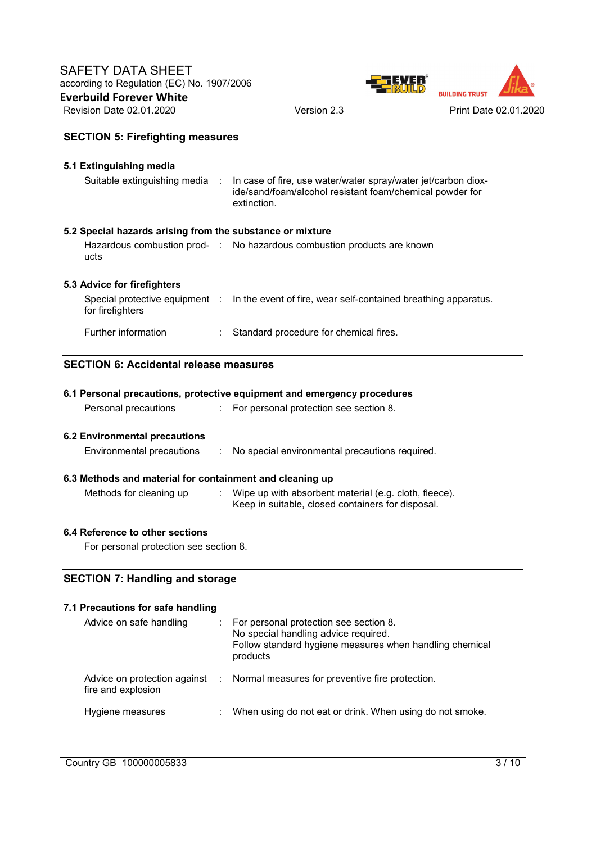

## **SECTION 5: Firefighting measures**

| 5.1 Extinguishing media<br>Suitable extinguishing media :              | In case of fire, use water/water spray/water jet/carbon diox-<br>ide/sand/foam/alcohol resistant foam/chemical powder for<br>extinction. |
|------------------------------------------------------------------------|------------------------------------------------------------------------------------------------------------------------------------------|
| 5.2 Special hazards arising from the substance or mixture<br>ucts      | Hazardous combustion prod- : No hazardous combustion products are known                                                                  |
| 5.3 Advice for firefighters<br>for firefighters<br>Further information | Special protective equipment : In the event of fire, wear self-contained breathing apparatus.<br>Standard procedure for chemical fires.  |

## **SECTION 6: Accidental release measures**

|                                                          | 6.1 Personal precautions, protective equipment and emergency procedures                                    |
|----------------------------------------------------------|------------------------------------------------------------------------------------------------------------|
| Personal precautions                                     | : For personal protection see section 8.                                                                   |
|                                                          |                                                                                                            |
| 6.2 Environmental precautions                            |                                                                                                            |
| Environmental precautions                                | : No special environmental precautions required.                                                           |
| 6.3 Methods and material for containment and cleaning up |                                                                                                            |
| Methods for cleaning up                                  | Wipe up with absorbent material (e.g. cloth, fleece).<br>Keep in suitable, closed containers for disposal. |

## **6.4 Reference to other sections**

For personal protection see section 8.

# **SECTION 7: Handling and storage**

| 7.1 Precautions for safe handling |                                                                                                                                                       |
|-----------------------------------|-------------------------------------------------------------------------------------------------------------------------------------------------------|
| Advice on safe handling           | For personal protection see section 8.<br>No special handling advice required.<br>Follow standard hygiene measures when handling chemical<br>products |
| fire and explosion                | Advice on protection against : Normal measures for preventive fire protection.                                                                        |
| Hygiene measures                  | When using do not eat or drink. When using do not smoke.                                                                                              |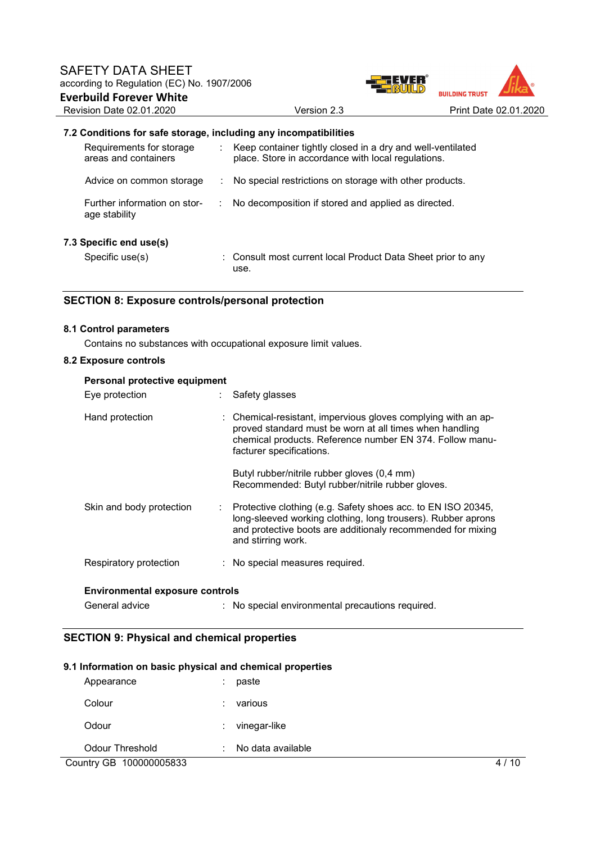

## **7.2 Conditions for safe storage, including any incompatibilities**

| Requirements for storage<br>areas and containers | : Keep container tightly closed in a dry and well-ventilated<br>place. Store in accordance with local regulations. |
|--------------------------------------------------|--------------------------------------------------------------------------------------------------------------------|
| Advice on common storage                         | No special restrictions on storage with other products.                                                            |
| Further information on stor-<br>age stability    | : No decomposition if stored and applied as directed.                                                              |
| 7.3 Specific end use(s)                          |                                                                                                                    |
| Specific use(s)                                  | : Consult most current local Product Data Sheet prior to any<br>use.                                               |

## **SECTION 8: Exposure controls/personal protection**

#### **8.1 Control parameters**

Contains no substances with occupational exposure limit values.

## **8.2 Exposure controls**

| Personal protective equipment          |                                                                                                                                                                                                                   |
|----------------------------------------|-------------------------------------------------------------------------------------------------------------------------------------------------------------------------------------------------------------------|
| Eye protection                         | Safety glasses                                                                                                                                                                                                    |
| Hand protection                        | Chemical-resistant, impervious gloves complying with an ap-<br>proved standard must be worn at all times when handling<br>chemical products. Reference number EN 374. Follow manu-<br>facturer specifications.    |
|                                        | Butyl rubber/nitrile rubber gloves (0,4 mm)<br>Recommended: Butyl rubber/nitrile rubber gloves.                                                                                                                   |
| Skin and body protection<br>÷          | Protective clothing (e.g. Safety shoes acc. to EN ISO 20345,<br>long-sleeved working clothing, long trousers). Rubber aprons<br>and protective boots are additionaly recommended for mixing<br>and stirring work. |
| Respiratory protection                 | : No special measures required.                                                                                                                                                                                   |
| <b>Environmental exposure controls</b> |                                                                                                                                                                                                                   |
| General advice                         | : No special environmental precautions required.                                                                                                                                                                  |

## **SECTION 9: Physical and chemical properties**

## **9.1 Information on basic physical and chemical properties**

| Appearance              | paste<br>: .           |    |
|-------------------------|------------------------|----|
| Colour                  | various                |    |
| Odour                   | vinegar-like<br>÷      |    |
| <b>Odour Threshold</b>  | No data available<br>÷ |    |
| Country GB 100000005833 |                        | 10 |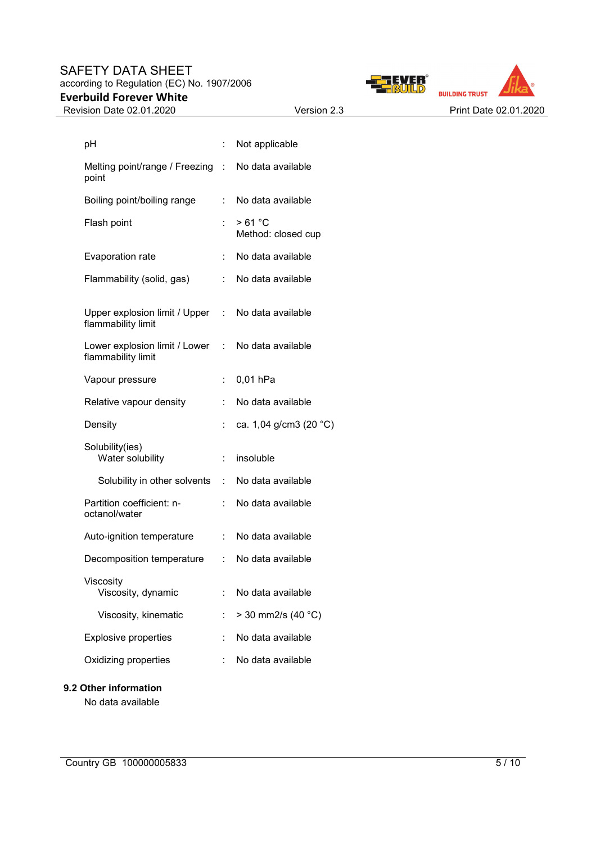## SAFETY DATA SHEET according to Regulation (EC) No. 1907/2006 **Everbuild Forever White**





| pH                                                    |                             | Not applicable               |
|-------------------------------------------------------|-----------------------------|------------------------------|
| Melting point/range / Freezing :<br>point             |                             | No data available            |
| Boiling point/boiling range                           | t.                          | No data available            |
| Flash point                                           |                             | >61 °C<br>Method: closed cup |
| Evaporation rate                                      | t.                          | No data available            |
| Flammability (solid, gas)                             | t.                          | No data available            |
| Upper explosion limit / Upper :<br>flammability limit |                             | No data available            |
| Lower explosion limit / Lower<br>flammability limit   | $\mathcal{L}^{\mathcal{L}}$ | No data available            |
| Vapour pressure                                       | ÷.                          | 0,01 hPa                     |
| Relative vapour density                               | t.                          | No data available            |
| Density                                               | t.                          | ca. 1,04 g/cm3 (20 °C)       |
| Solubility(ies)<br>Water solubility                   | $\mathbb{R}^{\mathbb{Z}}$   | insoluble                    |
| Solubility in other solvents                          | t.                          | No data available            |
| Partition coefficient: n-<br>octanol/water            |                             | No data available            |
| Auto-ignition temperature                             | t.                          | No data available            |
| Decomposition temperature                             | $\mathbb{R}^{\mathbb{Z}}$   | No data available            |
| Viscosity<br>Viscosity, dynamic                       |                             | No data available            |
| Viscosity, kinematic                                  | t.                          | $>$ 30 mm2/s (40 °C)         |
| <b>Explosive properties</b>                           |                             | No data available            |
| Oxidizing properties                                  |                             | No data available            |

## **9.2 Other information**

No data available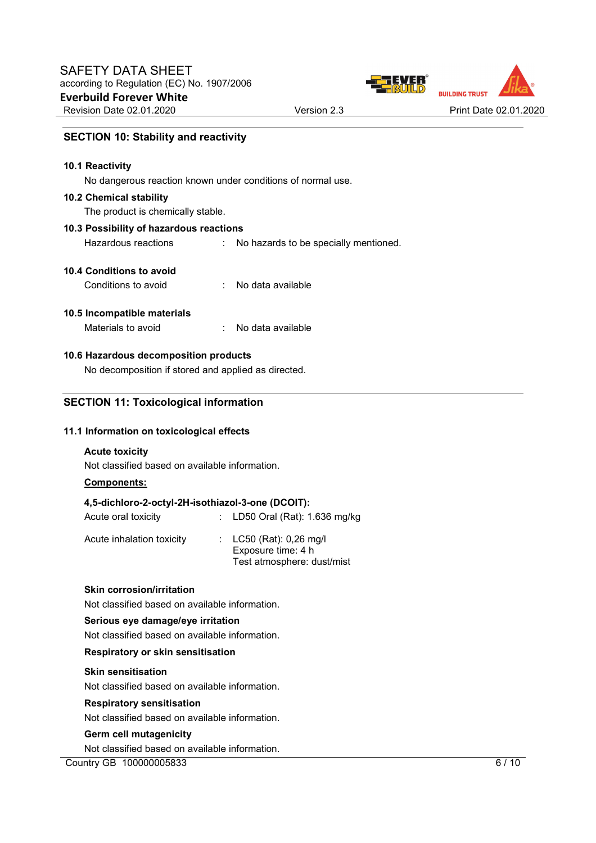

## **SECTION 10: Stability and reactivity**

#### **10.1 Reactivity**

No dangerous reaction known under conditions of normal use.

#### **10.2 Chemical stability**

The product is chemically stable.

## **10.3 Possibility of hazardous reactions**

Hazardous reactions : No hazards to be specially mentioned.

## **10.4 Conditions to avoid**

| Conditions to avoid |  | No data available |
|---------------------|--|-------------------|
|---------------------|--|-------------------|

### **10.5 Incompatible materials**

| Materials to avoid | No data available |
|--------------------|-------------------|
|--------------------|-------------------|

## **10.6 Hazardous decomposition products**

No decomposition if stored and applied as directed.

## **SECTION 11: Toxicological information**

### **11.1 Information on toxicological effects**

### **Acute toxicity**

Not classified based on available information.

### **Components:**

### **4,5-dichloro-2-octyl-2H-isothiazol-3-one (DCOIT):**

| Acute oral toxicity       | : LD50 Oral (Rat): $1.636$ mg/kg                |
|---------------------------|-------------------------------------------------|
| Acute inhalation toxicity | : $LC50$ (Rat): 0,26 mg/l<br>Exposure time: 4 h |

Test atmosphere: dust/mist

## **Skin corrosion/irritation**

Not classified based on available information.

### **Serious eye damage/eye irritation**

Not classified based on available information.

### **Respiratory or skin sensitisation**

#### **Skin sensitisation**

Not classified based on available information.

### **Respiratory sensitisation**

Not classified based on available information.

#### **Germ cell mutagenicity**

Not classified based on available information.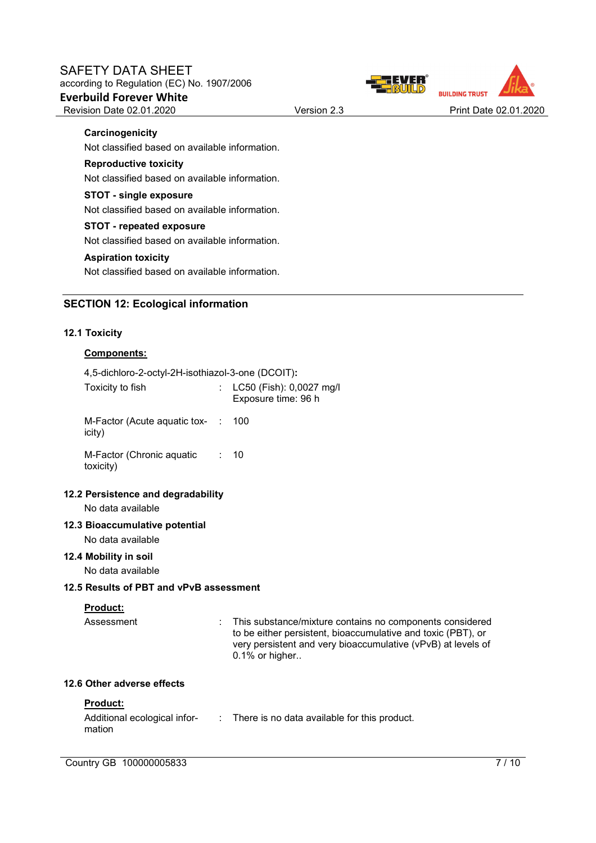



## **Carcinogenicity**

Not classified based on available information.

### **Reproductive toxicity**

Not classified based on available information.

#### **STOT - single exposure**

Not classified based on available information.

### **STOT - repeated exposure**

Not classified based on available information.

### **Aspiration toxicity**

Not classified based on available information.

## **SECTION 12: Ecological information**

### **12.1 Toxicity**

### **Components:**

4,5-dichloro-2-octyl-2H-isothiazol-3-one (DCOIT)**:** 

| Toxicity to fish                       | : $LC50$ (Fish): 0,0027 mg/l<br>Exposure time: 96 h |
|----------------------------------------|-----------------------------------------------------|
| M-Factor (Acute aguatic tox-<br>icity) | : 100                                               |
| M-Factor (Chronic aguatic<br>toxicity) | $\therefore$ 10                                     |

## **12.2 Persistence and degradability**

No data available

## **12.3 Bioaccumulative potential**

No data available

### **12.4 Mobility in soil**

No data available

### **12.5 Results of PBT and vPvB assessment**

### **Product:**

Assessment : This substance/mixture contains no components considered to be either persistent, bioaccumulative and toxic (PBT), or very persistent and very bioaccumulative (vPvB) at levels of 0.1% or higher..

### **12.6 Other adverse effects**

### **Product:**

Additional ecological infor-: There is no data available for this product. mation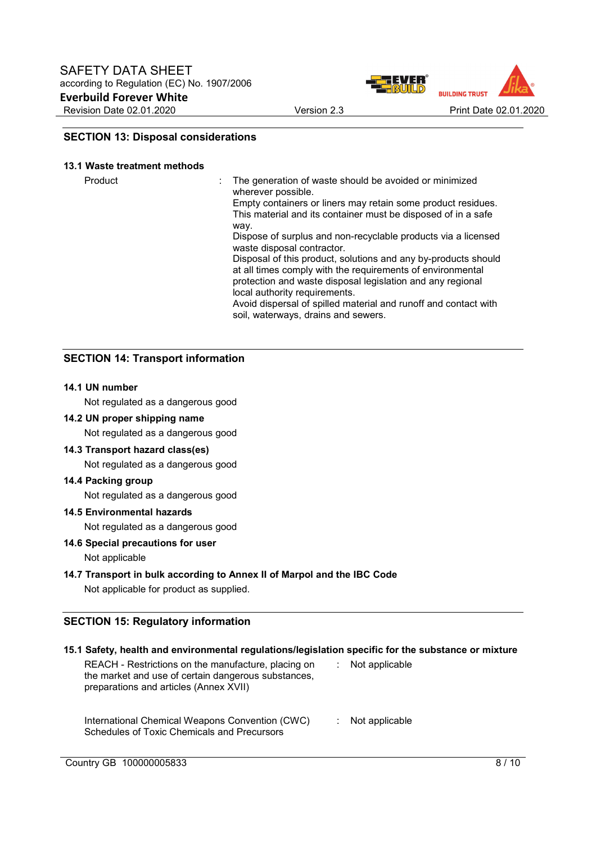

## **SECTION 13: Disposal considerations**

#### **13.1 Waste treatment methods**

Product **Example 20** The generation of waste should be avoided or minimized wherever possible.

Empty containers or liners may retain some product residues. This material and its container must be disposed of in a safe way.

Dispose of surplus and non-recyclable products via a licensed waste disposal contractor.

Disposal of this product, solutions and any by-products should at all times comply with the requirements of environmental protection and waste disposal legislation and any regional local authority requirements.

Avoid dispersal of spilled material and runoff and contact with soil, waterways, drains and sewers.

## **SECTION 14: Transport information**

### **14.1 UN number**

Not regulated as a dangerous good

#### **14.2 UN proper shipping name**

Not regulated as a dangerous good

### **14.3 Transport hazard class(es)**

Not regulated as a dangerous good

#### **14.4 Packing group**

Not regulated as a dangerous good

## **14.5 Environmental hazards**

Not regulated as a dangerous good

## **14.6 Special precautions for user**

### Not applicable

## **14.7 Transport in bulk according to Annex II of Marpol and the IBC Code**

Not applicable for product as supplied.

## **SECTION 15: Regulatory information**

| 15.1 Safety, health and environmental regulations/legislation specific for the substance or mixture                                                  |                |
|------------------------------------------------------------------------------------------------------------------------------------------------------|----------------|
| REACH - Restrictions on the manufacture, placing on<br>the market and use of certain dangerous substances,<br>preparations and articles (Annex XVII) | Not applicable |
| International Chemical Weapons Convention (CWC)<br><b>Schedules of Toxic Chemicals and Precursors</b>                                                | Not applicable |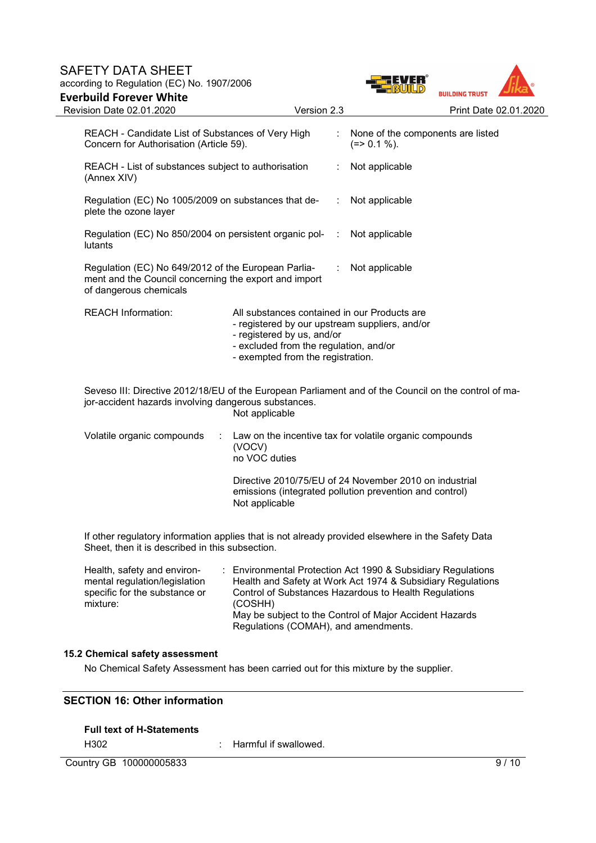## SAFETY DATA SHEET according to Regulation (EC) No. 1907/2006 **Everbuild Forever White**

Concern for Authorisation (Article 59).

REACH - Candidate List of Substances of Very High



| REACH - List of substances subject to authorisation<br>(Annex XIV)                                                                     |                                                                                                                                                                                                             | : Not applicable                                                                                                  |
|----------------------------------------------------------------------------------------------------------------------------------------|-------------------------------------------------------------------------------------------------------------------------------------------------------------------------------------------------------------|-------------------------------------------------------------------------------------------------------------------|
| Regulation (EC) No 1005/2009 on substances that de- : Not applicable<br>plete the ozone layer                                          |                                                                                                                                                                                                             |                                                                                                                   |
| Regulation (EC) No 850/2004 on persistent organic pol- : Not applicable<br>lutants                                                     |                                                                                                                                                                                                             |                                                                                                                   |
| Regulation (EC) No 649/2012 of the European Parlia-<br>ment and the Council concerning the export and import<br>of dangerous chemicals |                                                                                                                                                                                                             | : Not applicable                                                                                                  |
| <b>REACH Information:</b>                                                                                                              | All substances contained in our Products are<br>- registered by our upstream suppliers, and/or<br>- registered by us, and/or<br>- excluded from the regulation, and/or<br>- exempted from the registration. |                                                                                                                   |
| jor-accident hazards involving dangerous substances.                                                                                   | Not applicable                                                                                                                                                                                              | Seveso III: Directive 2012/18/EU of the European Parliament and of the Council on the control of ma-              |
| Volatile organic compounds                                                                                                             | (VOCV)<br>no VOC duties                                                                                                                                                                                     | Law on the incentive tax for volatile organic compounds                                                           |
|                                                                                                                                        | Not applicable                                                                                                                                                                                              | Directive 2010/75/EU of 24 November 2010 on industrial<br>emissions (integrated pollution prevention and control) |
| If other requisitory infermation applica that is not elready provided elecutions in the Cafety Data                                    |                                                                                                                                                                                                             |                                                                                                                   |

If other regulatory information applies that is not already provided elsewhere in the Safety Data Sheet, then it is described in this subsection.

| Health, safety and environ-   | : Environmental Protection Act 1990 & Subsidiary Regulations |  |
|-------------------------------|--------------------------------------------------------------|--|
| mental regulation/legislation | Health and Safety at Work Act 1974 & Subsidiary Regulations  |  |
| specific for the substance or | Control of Substances Hazardous to Health Regulations        |  |
| mixture:                      | (COSHH)                                                      |  |
|                               | May be subject to the Control of Major Accident Hazards      |  |
|                               | Regulations (COMAH), and amendments.                         |  |

## **15.2 Chemical safety assessment**

No Chemical Safety Assessment has been carried out for this mixture by the supplier.

## **SECTION 16: Other information**

## **Full text of H-Statements**

H302 : Harmful if swallowed.